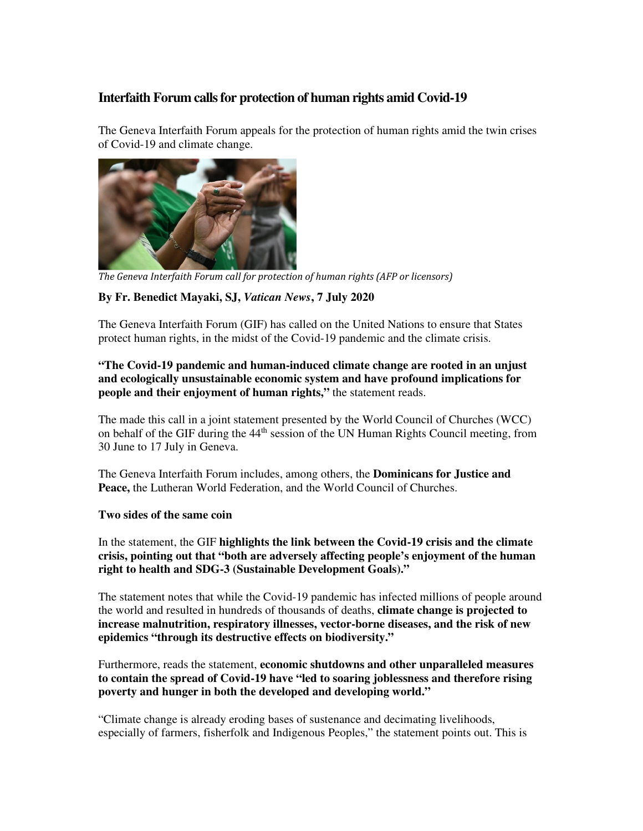# **Interfaith Forum calls for protection of human rights amid Covid-19**

The Geneva Interfaith Forum appeals for the protection of human rights amid the twin crises of Covid-19 and climate change.



*The Geneva Interfaith Forum call for protection of human rights (AFP or licensors)*

## **By Fr. Benedict Mayaki, SJ,** *Vatican News***, 7 July 2020**

The Geneva Interfaith Forum (GIF) has called on the United Nations to ensure that States protect human rights, in the midst of the Covid-19 pandemic and the climate crisis.

## **"The Covid-19 pandemic and human-induced climate change are rooted in an unjust and ecologically unsustainable economic system and have profound implications for people and their enjoyment of human rights,"** the statement reads.

The made this call in a joint statement presented by the World Council of Churches (WCC) on behalf of the GIF during the 44<sup>th</sup> session of the UN Human Rights Council meeting, from 30 June to 17 July in Geneva.

The Geneva Interfaith Forum includes, among others, the **Dominicans for Justice and Peace,** the Lutheran World Federation, and the World Council of Churches.

#### **Two sides of the same coin**

In the statement, the GIF **highlights the link between the Covid-19 crisis and the climate crisis, pointing out that "both are adversely affecting people's enjoyment of the human right to health and SDG-3 (Sustainable Development Goals)."**

The statement notes that while the Covid-19 pandemic has infected millions of people around the world and resulted in hundreds of thousands of deaths, **climate change is projected to increase malnutrition, respiratory illnesses, vector-borne diseases, and the risk of new epidemics "through its destructive effects on biodiversity."**

Furthermore, reads the statement, **economic shutdowns and other unparalleled measures to contain the spread of Covid-19 have "led to soaring joblessness and therefore rising poverty and hunger in both the developed and developing world."**

"Climate change is already eroding bases of sustenance and decimating livelihoods, especially of farmers, fisherfolk and Indigenous Peoples," the statement points out. This is